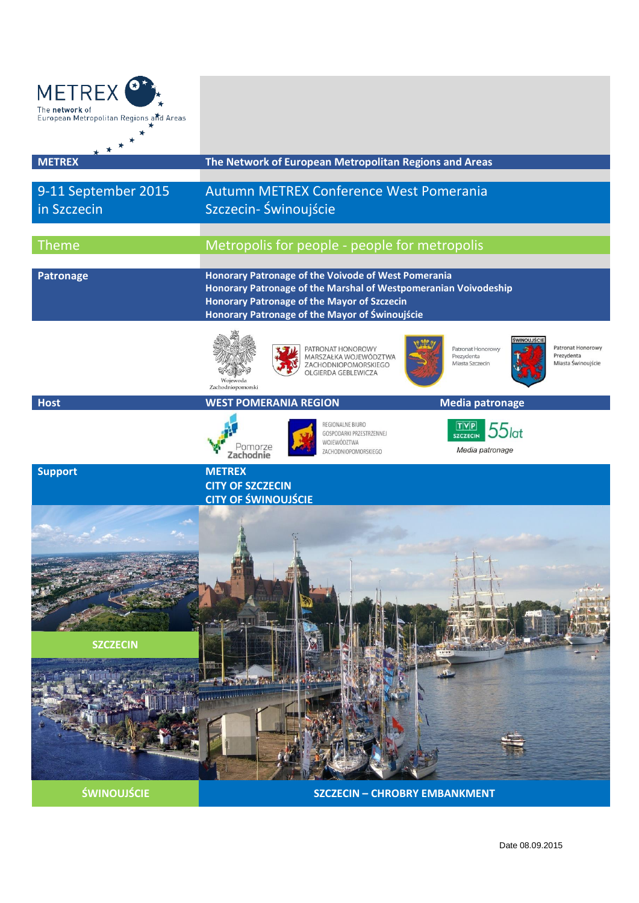

**SZCZECIN**



**ŚWINOUJŚCIE SZCZECIN – CHROBRY EMBANKMENT**

**CALL CALL** 

**COMMUNISTIC** 

Date 08.09.2015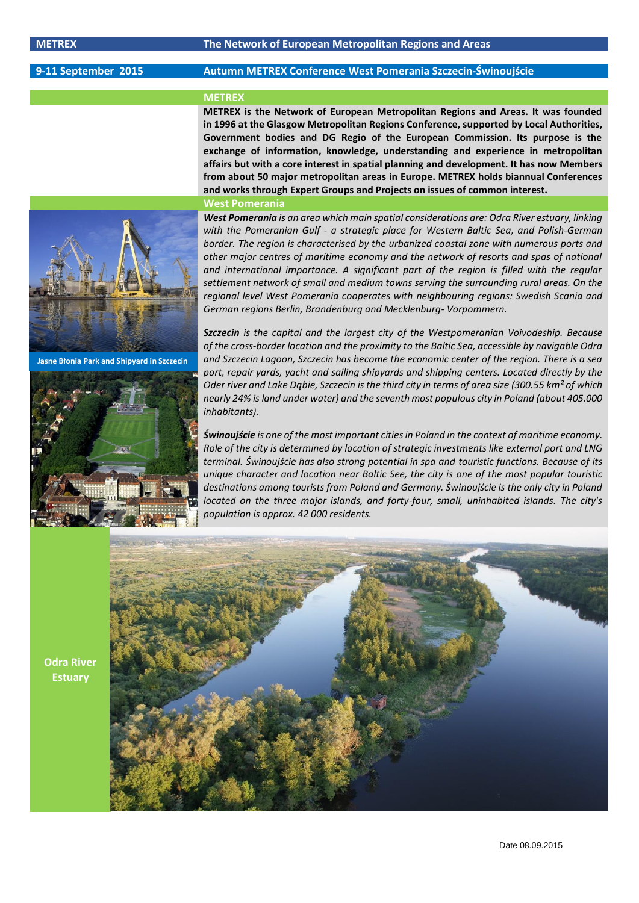## **9-11 September 2015 Autumn METREX Conference West Pomerania Szczecin-Świnoujście**

# **METREX**

**METREX is the Network of European Metropolitan Regions and Areas. It was founded in 1996 at the Glasgow Metropolitan Regions Conference, supported by Local Authorities, Government bodies and DG Regio of the European Commission. Its purpose is the exchange of information, knowledge, understanding and experience in metropolitan affairs but with a core interest in spatial planning and development. It has now Members from about 50 major metropolitan areas in Europe. METREX holds biannual Conferences and works through Expert Groups and Projects on issues of common interest.**

### **West Pomerania**



**Jasne Błonia Park and Shipyard in Szczecin**



*West Pomerania is an area which main spatial considerations are: Odra River estuary, linking with the Pomeranian Gulf - a strategic place for Western Baltic Sea, and Polish-German border. The region is characterised by the urbanized coastal zone with numerous ports and other major centres of maritime economy and the network of resorts and spas of national and international importance. A significant part of the region is filled with the regular settlement network of small and medium towns serving the surrounding rural areas. On the regional level West Pomerania cooperates with neighbouring regions: Swedish Scania and German regions Berlin, Brandenburg and Mecklenburg- Vorpommern.*

*Szczecin is the capital and the largest city of the Westpomeranian Voivodeship. Because of the cross-border location and the proximity to the Baltic Sea, accessible by navigable Odra and Szczecin Lagoon, Szczecin has become the economic center of the region. There is a sea port, repair yards, yacht and sailing shipyards and shipping centers. Located directly by the Oder river and Lake Dąbie, Szczecin is the third city in terms of area size (300.55 km² of which nearly 24% is land under water) and the seventh most populous city in Poland (about 405.000 inhabitants).*

*Świnoujście is one of the most important cities in Poland in the context of maritime economy. Role of the city is determined by location of strategic investments like external port and LNG terminal. Świnoujście has also strong potential in spa and touristic functions. Because of its unique character and location near Baltic See, the city is one of the most popular touristic destinations among tourists from Poland and Germany. Świnoujście is the only city in Poland located on the three major islands, and forty-four, small, uninhabited islands. The city's population is approx. 42 000 residents.*

**Odra River Estuary**

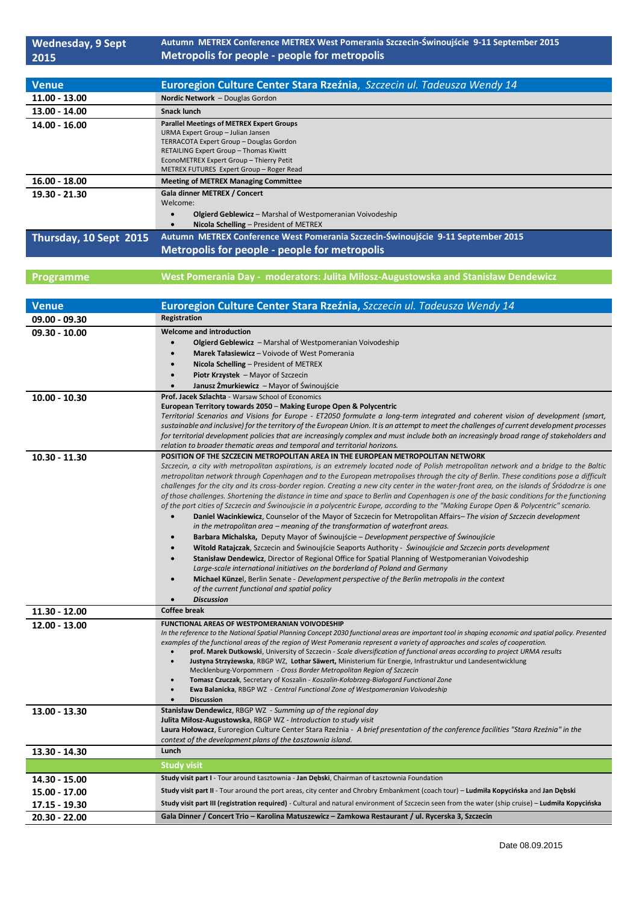| <b>Wednesday, 9 Sept</b> | Autumn METREX Conference METREX West Pomerania Szczecin-Świnoujście 9-11 September 2015                                                                                                                                                                                               |  |  |  |
|--------------------------|---------------------------------------------------------------------------------------------------------------------------------------------------------------------------------------------------------------------------------------------------------------------------------------|--|--|--|
| 2015                     | Metropolis for people - people for metropolis                                                                                                                                                                                                                                         |  |  |  |
|                          |                                                                                                                                                                                                                                                                                       |  |  |  |
| <b>Venue</b>             | Euroregion Culture Center Stara Rzeźnia, Szczecin ul. Tadeusza Wendy 14                                                                                                                                                                                                               |  |  |  |
| 11.00 - 13.00            | Nordic Network - Douglas Gordon                                                                                                                                                                                                                                                       |  |  |  |
| 13.00 - 14.00            | <b>Snack lunch</b>                                                                                                                                                                                                                                                                    |  |  |  |
| 14.00 - 16.00            | <b>Parallel Meetings of METREX Expert Groups</b>                                                                                                                                                                                                                                      |  |  |  |
|                          | URMA Expert Group - Julian Jansen<br>TERRACOTA Expert Group - Douglas Gordon<br>RETAILING Expert Group - Thomas Kiwitt                                                                                                                                                                |  |  |  |
|                          |                                                                                                                                                                                                                                                                                       |  |  |  |
|                          | EconoMETREX Expert Group - Thierry Petit                                                                                                                                                                                                                                              |  |  |  |
|                          | METREX FUTURES Expert Group - Roger Read                                                                                                                                                                                                                                              |  |  |  |
| $16.00 - 18.00$          | <b>Meeting of METREX Managing Committee</b>                                                                                                                                                                                                                                           |  |  |  |
| 19.30 - 21.30            | Gala dinner METREX / Concert<br>Welcome:                                                                                                                                                                                                                                              |  |  |  |
|                          | Olgierd Geblewicz - Marshal of Westpomeranian Voivodeship<br>$\bullet$                                                                                                                                                                                                                |  |  |  |
|                          | Nicola Schelling - President of METREX<br>$\bullet$                                                                                                                                                                                                                                   |  |  |  |
| Thursday, 10 Sept 2015   | Autumn METREX Conference West Pomerania Szczecin-Świnoujście 9-11 September 2015                                                                                                                                                                                                      |  |  |  |
|                          | Metropolis for people - people for metropolis                                                                                                                                                                                                                                         |  |  |  |
|                          |                                                                                                                                                                                                                                                                                       |  |  |  |
| Programme                | West Pomerania Day - moderators: Julita Miłosz-Augustowska and Stanisław Dendewicz                                                                                                                                                                                                    |  |  |  |
|                          |                                                                                                                                                                                                                                                                                       |  |  |  |
| <b>Venue</b>             | Euroregion Culture Center Stara Rzeźnia, Szczecin ul. Tadeusza Wendy 14                                                                                                                                                                                                               |  |  |  |
| $09.00 - 09.30$          | Registration                                                                                                                                                                                                                                                                          |  |  |  |
| 09.30 - 10.00            | <b>Welcome and introduction</b>                                                                                                                                                                                                                                                       |  |  |  |
|                          | Olgierd Geblewicz - Marshal of Westpomeranian Voivodeship<br>$\bullet$                                                                                                                                                                                                                |  |  |  |
|                          | Marek Tałasiewicz - Voivode of West Pomerania<br>$\bullet$                                                                                                                                                                                                                            |  |  |  |
|                          | Nicola Schelling - President of METREX<br>$\bullet$                                                                                                                                                                                                                                   |  |  |  |
|                          | Piotr Krzystek - Mayor of Szczecin<br>$\bullet$                                                                                                                                                                                                                                       |  |  |  |
|                          | Janusz Żmurkiewicz – Mayor of Świnoujście<br>Prof. Jacek Szlachta - Warsaw School of Economics                                                                                                                                                                                        |  |  |  |
| $10.00 - 10.30$          | European Territory towards 2050 - Making Europe Open & Polycentric                                                                                                                                                                                                                    |  |  |  |
|                          | Territorial Scenarios and Visions for Europe - ET2050 formulate a long-term integrated and coherent vision of development (smart,                                                                                                                                                     |  |  |  |
|                          | sustainable and inclusive) for the territory of the European Union. It is an attempt to meet the challenges of current development processes                                                                                                                                          |  |  |  |
|                          | for territorial development policies that are increasingly complex and must include both an increasingly broad range of stakeholders and<br>relation to broader thematic areas and temporal and territorial horizons.                                                                 |  |  |  |
| $10.30 - 11.30$          | POSITION OF THE SZCZECIN METROPOLITAN AREA IN THE EUROPEAN METROPOLITAN NETWORK                                                                                                                                                                                                       |  |  |  |
|                          | Szczecin, a city with metropolitan aspirations, is an extremely located node of Polish metropolitan network and a bridge to the Baltic                                                                                                                                                |  |  |  |
|                          | metropolitan network through Copenhagen and to the European metropolises through the city of Berlin. These conditions pose a difficult<br>challenges for the city and its cross-border region. Creating a new city center in the water-front area, on the islands of Śródodrze is one |  |  |  |
|                          | of those challenges. Shortening the distance in time and space to Berlin and Copenhagen is one of the basic conditions for the functioning                                                                                                                                            |  |  |  |
|                          | of the port cities of Szczecin and Świnoujscie in a polycentric Europe, according to the "Making Europe Open & Polycentric" scenario.                                                                                                                                                 |  |  |  |
|                          | Daniel Wacinkiewicz, Counselor of the Mayor of Szczecin for Metropolitan Affairs-The vision of Szczecin development                                                                                                                                                                   |  |  |  |
|                          | in the metropolitan area – meaning of the transformation of waterfront areas.<br><b>Barbara Michalska,</b> Deputy Mayor of Świnoujście – Development perspective of Świnoujście<br>$\bullet$                                                                                          |  |  |  |
|                          | Witold Ratajczak, Szczecin and Świnoujście Seaports Authority - Świnoujście and Szczecin ports development<br>$\bullet$                                                                                                                                                               |  |  |  |
|                          | Stanisław Dendewicz, Director of Regional Office for Spatial Planning of Westpomeranian Voivodeship<br>$\bullet$                                                                                                                                                                      |  |  |  |
|                          | Large-scale international initiatives on the borderland of Poland and Germany                                                                                                                                                                                                         |  |  |  |
|                          | Michael Künzel, Berlin Senate - Development perspective of the Berlin metropolis in the context<br>$\bullet$<br>of the current functional and spatial policy                                                                                                                          |  |  |  |
|                          | <b>Discussion</b>                                                                                                                                                                                                                                                                     |  |  |  |
| 11.30 - 12.00            | <b>Coffee break</b>                                                                                                                                                                                                                                                                   |  |  |  |
| 12.00 - 13.00            | FUNCTIONAL AREAS OF WESTPOMERANIAN VOIVODESHIP                                                                                                                                                                                                                                        |  |  |  |
|                          | In the reference to the National Spatial Planning Concept 2030 functional areas are important tool in shaping economic and spatial policy. Presented                                                                                                                                  |  |  |  |
|                          | examples of the functional areas of the region of West Pomerania represent a variety of approaches and scales of cooperation.<br>prof. Marek Dutkowski, University of Szczecin - Scale diversification of functional areas according to project URMA results                          |  |  |  |
|                          | Justyna Strzyżewska, RBGP WZ, Lothar Säwert, Ministerium für Energie, Infrastruktur und Landesentwicklung                                                                                                                                                                             |  |  |  |
|                          | Mecklenburg-Vorpommern - Cross Border Metropolitan Region of Szczecin                                                                                                                                                                                                                 |  |  |  |
|                          | Tomasz Czuczak, Secretary of Koszalin - Koszalin-Kołobrzeg-Białogard Functional Zone<br>Ewa Balanicka, RBGP WZ - Central Functional Zone of Westpomeranian Voivodeship                                                                                                                |  |  |  |
|                          | <b>Discussion</b>                                                                                                                                                                                                                                                                     |  |  |  |
| 13.00 - 13.30            | Stanisław Dendewicz, RBGP WZ - Summing up of the regional day                                                                                                                                                                                                                         |  |  |  |
|                          | Julita Miłosz-Augustowska, RBGP WZ - Introduction to study visit<br>Laura Hołowacz, Euroregion Culture Center Stara Rzeźnia - A brief presentation of the conference facilities "Stara Rzeźnia" in the                                                                                |  |  |  |
|                          | context of the development plans of the Lasztownia island.                                                                                                                                                                                                                            |  |  |  |
| 13.30 - 14.30            | Lunch                                                                                                                                                                                                                                                                                 |  |  |  |
|                          | <b>Study visit</b>                                                                                                                                                                                                                                                                    |  |  |  |
| 14.30 - 15.00            | Study visit part I - Tour around Łasztownia - Jan Dębski, Chairman of Łasztownia Foundation                                                                                                                                                                                           |  |  |  |
| 15.00 - 17.00            | Study visit part II - Tour around the port areas, city center and Chrobry Embankment (coach tour) - Ludmiła Kopycińska and Jan Dębski                                                                                                                                                 |  |  |  |
| 17.15 - 19.30            | Study visit part III (registration required) - Cultural and natural environment of Szczecin seen from the water (ship cruise) - Ludmiła Kopycińska                                                                                                                                    |  |  |  |
| 20.30 - 22.00            | Gala Dinner / Concert Trio - Karolina Matuszewicz - Zamkowa Restaurant / ul. Rycerska 3, Szczecin                                                                                                                                                                                     |  |  |  |
|                          |                                                                                                                                                                                                                                                                                       |  |  |  |